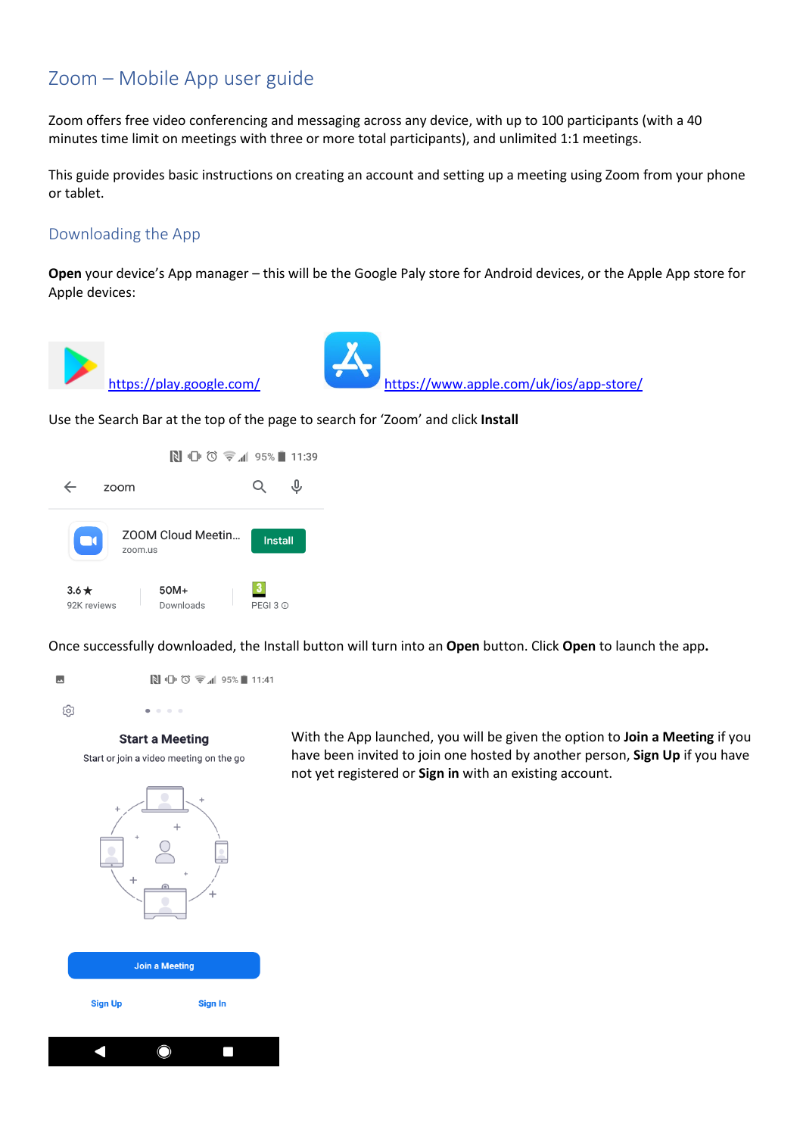# Zoom – Mobile App user guide

Zoom offers free video conferencing and messaging across any device, with up to 100 participants (with a 40 minutes time limit on meetings with three or more total participants), and unlimited 1:1 meetings.

This guide provides basic instructions on creating an account and setting up a meeting using Zoom from your phone or tablet.

### Downloading the App

**Open** your device's App manager – this will be the Google Paly store for Android devices, or the Apple App store for Apple devices:





<https://play.google.com/> <https://www.apple.com/uk/ios/app-store/>

Use the Search Bar at the top of the page to search for 'Zoom' and click **Install**



Once successfully downloaded, the Install button will turn into an **Open** button. Click **Open** to launch the app**.**





#### **Start a Meeting**

Start or join a video meeting on the go

With the App launched, you will be given the option to **Join a Meeting** if you have been invited to join one hosted by another person, **Sign Up** if you have not yet registered or **Sign in** with an existing account.





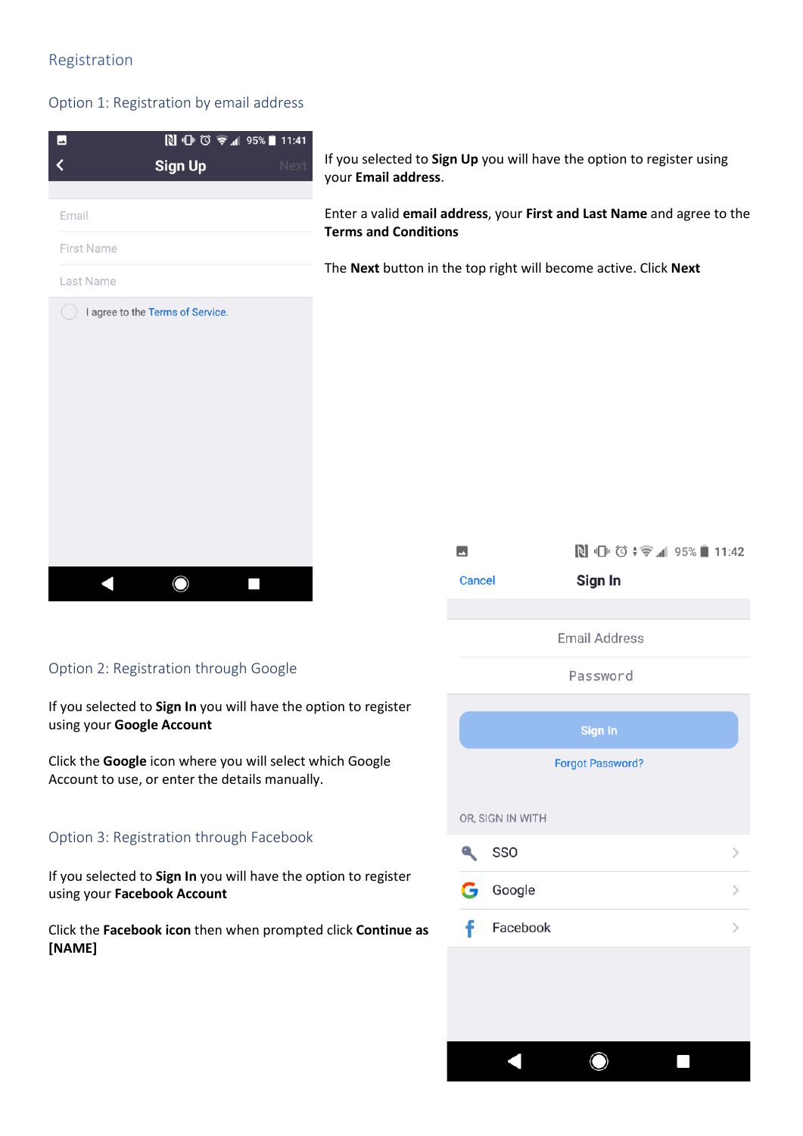### Registration

#### Option 1: Registration by email address



Facebook

 $\bigcirc$ 

 $\overline{\phantom{a}}$ 

using your **Facebook Account** Click the **Facebook icon** then when prompted click **Continue as** 

**[NAME]**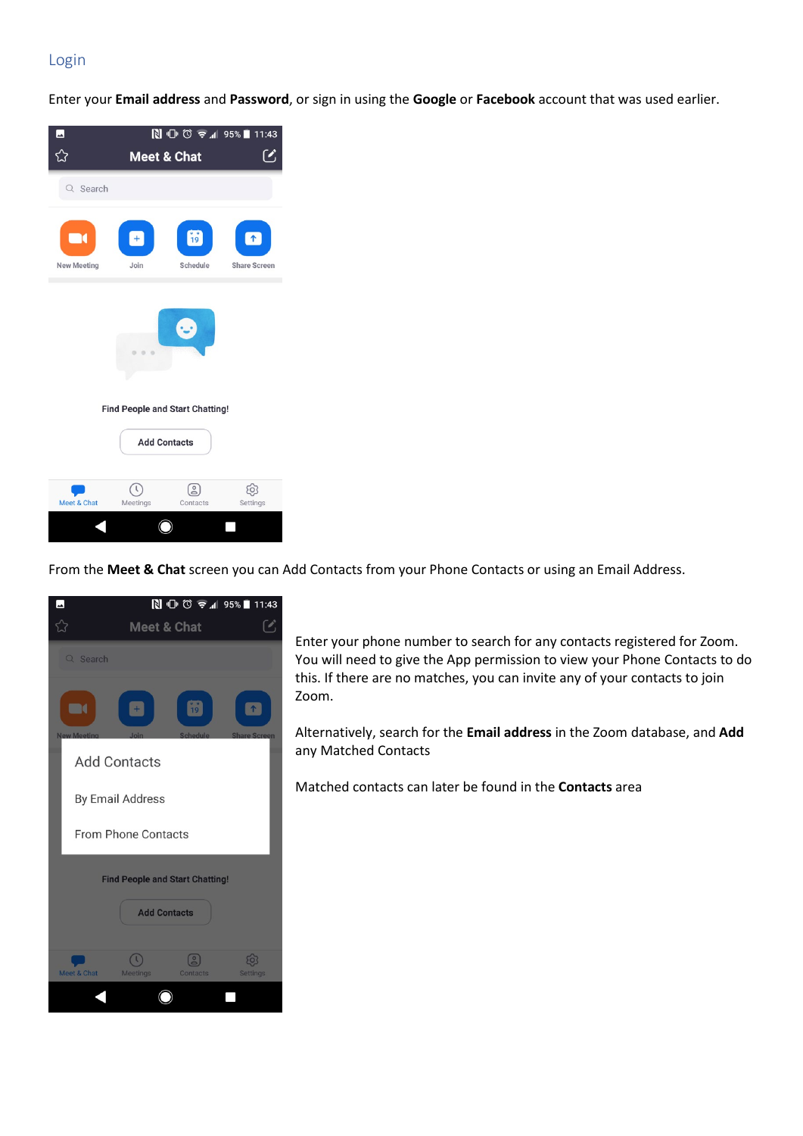## Login

Enter your **Email address** and **Password**, or sign in using the **Google** or **Facebook** account that was used earlier.



From the **Meet & Chat** screen you can Add Contacts from your Phone Contacts or using an Email Address.



Enter your phone number to search for any contacts registered for Zoom. You will need to give the App permission to view your Phone Contacts to do this. If there are no matches, you can invite any of your contacts to join Zoom.

Alternatively, search for the **Email address** in the Zoom database, and **Add** any Matched Contacts

Matched contacts can later be found in the **Contacts** area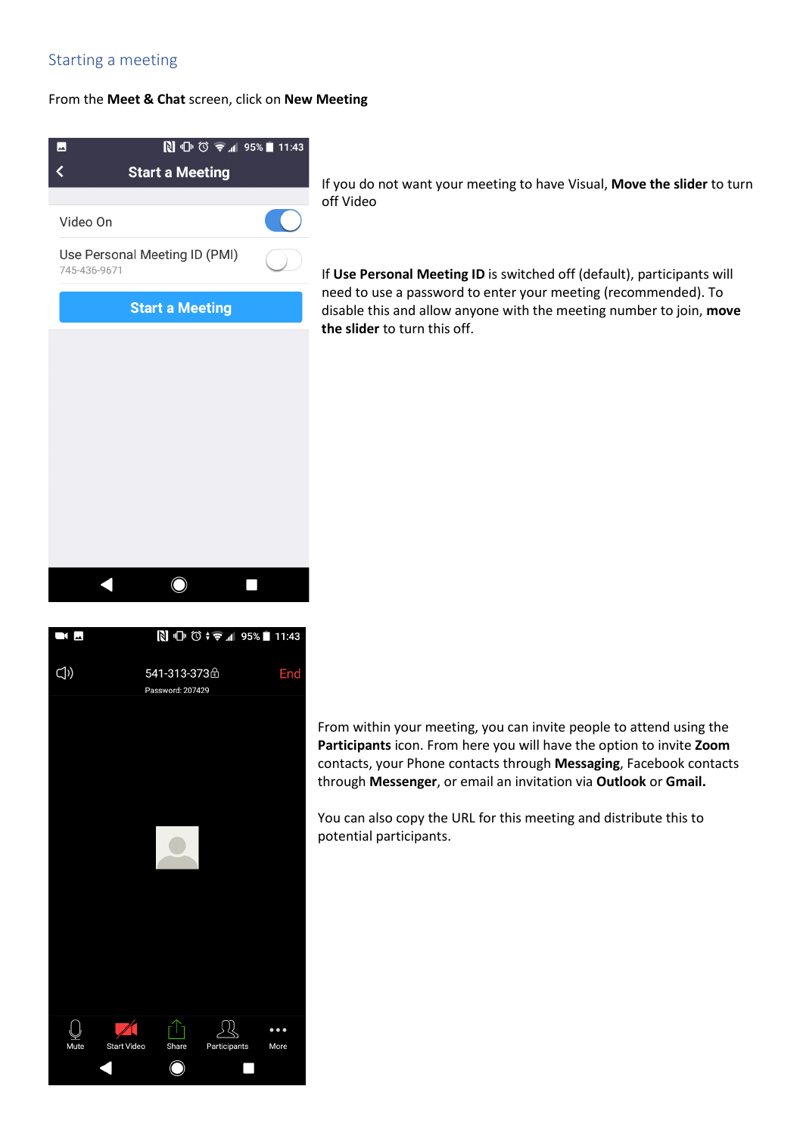### Starting a meeting

#### From the **Meet & Chat** screen, click on **New Meeting**



If you do not want your meeting to have Visual, **Move the slider** to turn off Video

If **Use Personal Meeting ID** is switched off (default), participants will need to use a password to enter your meeting (recommended). To disable this and allow anyone with the meeting number to join, **move the slider** to turn this off.





From within your meeting, you can invite people to attend using the **Participants** icon. From here you will have the option to invite **Zoom** contacts, your Phone contacts through **Messaging**, Facebook contacts through **Messenger**, or email an invitation via **Outlook** or **Gmail.** 

You can also copy the URL for this meeting and distribute this to potential participants.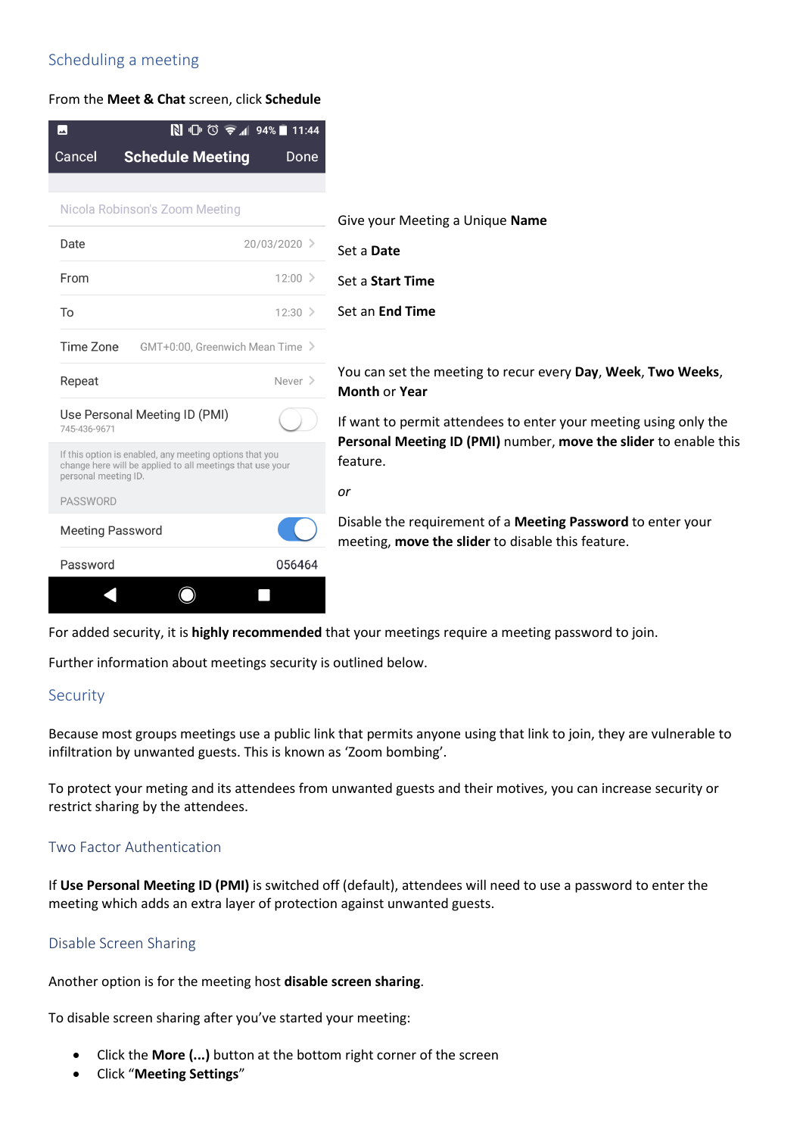## Scheduling a meeting

From the **Meet & Chat** screen, click **Schedule**

|                                                                                                                                              | $\mathbb{N}$ <sup>U</sup> $\circledcirc$ $\in$ 1 94%<br>11:44 |
|----------------------------------------------------------------------------------------------------------------------------------------------|---------------------------------------------------------------|
| Cancel<br><b>Schedule Meeting</b>                                                                                                            | Done                                                          |
|                                                                                                                                              |                                                               |
| Nicola Robinson's Zoom Meeting                                                                                                               |                                                               |
| Date                                                                                                                                         | 20/03/2020 >                                                  |
| From                                                                                                                                         | $12:00$ >                                                     |
| To                                                                                                                                           | $12:30$ >                                                     |
| Time Zone                                                                                                                                    | GMT+0:00, Greenwich Mean Time >                               |
| Repeat                                                                                                                                       | Never $\geq$                                                  |
| Use Personal Meeting ID (PMI)<br>745-436-9671                                                                                                |                                                               |
| If this option is enabled, any meeting options that you<br>change here will be applied to all meetings that use your<br>personal meeting ID. |                                                               |
| <b>PASSWORD</b>                                                                                                                              |                                                               |
| <b>Meeting Password</b>                                                                                                                      |                                                               |
| Password                                                                                                                                     | 056464                                                        |

e your Meeting a Unique **Name** a **Date** a **Start Time** an **End Time** 

can set the meeting to recur every Day, Week, Two Weeks, **hth** or **Year** 

ant to permit attendees to enter your meeting using only the **Personal Meeting ID (PMI)** number, **move the slider** to enable this ture.

able the requirement of a **Meeting Password** to enter your eting, **move the slider** to disable this feature.

For added security, it is **highly recommended** that your meetings require a meeting password to join.

Further information about meetings security is outlined below.

### **Security**

Because most groups meetings use a public link that permits anyone using that link to join, they are vulnerable to infiltration by unwanted guests. This is known as 'Zoom bombing'.

To protect your meting and its attendees from unwanted guests and their motives, you can increase security or restrict sharing by the attendees.

#### Two Factor Authentication

If **Use Personal Meeting ID (PMI)** is switched off (default), attendees will need to use a password to enter the meeting which adds an extra layer of protection against unwanted guests.

#### Disable Screen Sharing

Another option is for the meeting host **disable screen sharing**.

To disable screen sharing after you've started your meeting:

- Click the **More (...)** button at the bottom right corner of the screen
- Click "**Meeting Settings**"